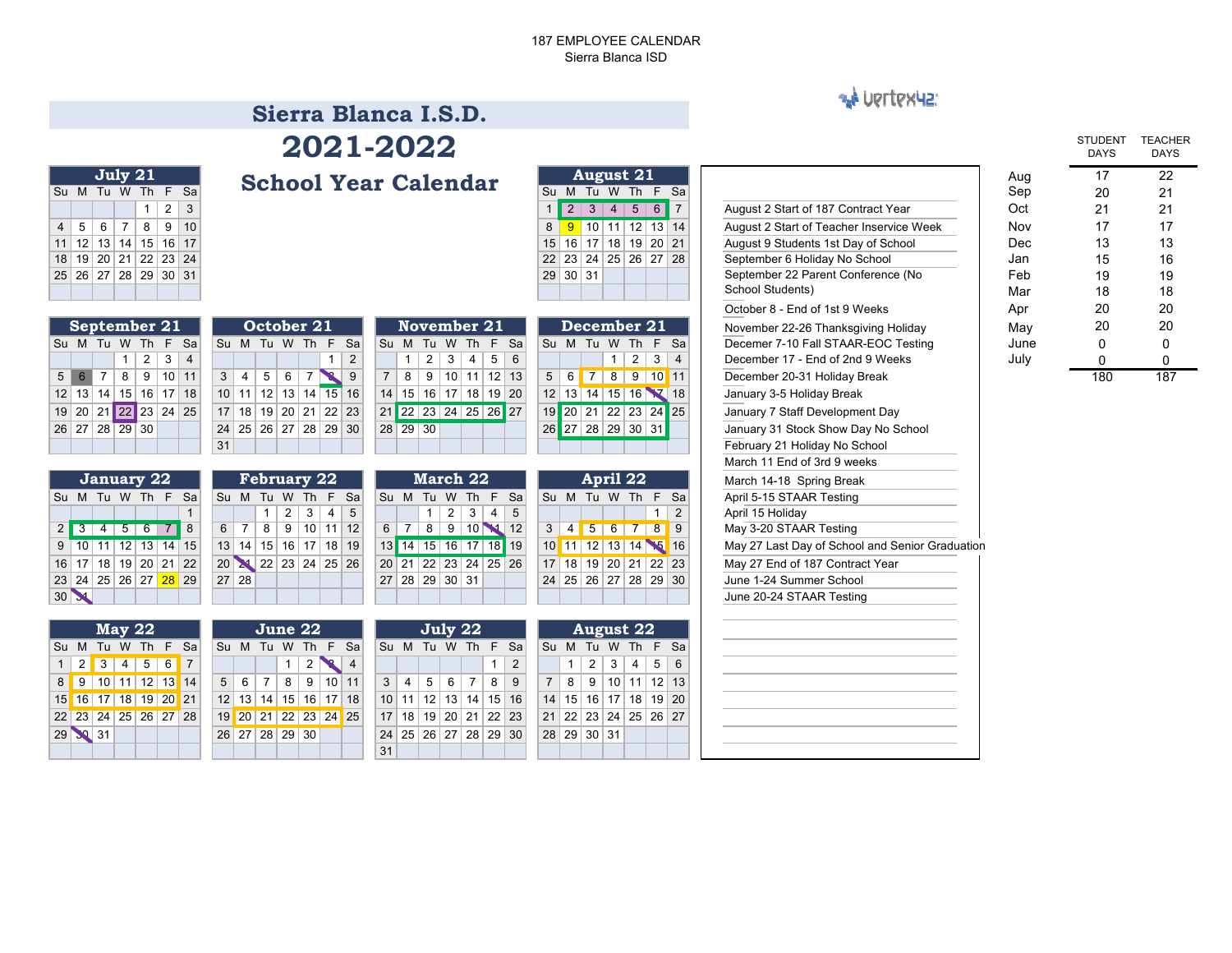### 187 EMPLOYEE CALENDARSierra Blanca ISD

### **AN UPTTPX42:**

### **School Year Calendar Sierra Blanca I.S.D.2021-2022**

|    |       | July 21         |            |                 |                 |           | <b>School Year Calendar</b> |    |                 |                 | <b>August 21</b> |              |       |      |
|----|-------|-----------------|------------|-----------------|-----------------|-----------|-----------------------------|----|-----------------|-----------------|------------------|--------------|-------|------|
| Su | M     | Tu              | W          | Th T            |                 | F Sa      | Su                          |    | м               | Tu              | W                | Th           |       | F Sa |
|    |       |                 |            |                 | 2               | 3         |                             |    |                 |                 | 4                | 5            | 6     |      |
|    | 5     | 6               |            | 8               | 9               | 10        |                             |    | 9               | 10 <sup>1</sup> | 11               | $ 12\rangle$ | 13 14 |      |
|    | 12    | 13 <sup>1</sup> | 14         | 15 <sup>1</sup> |                 | $16$   17 |                             | 15 | 16 <sup>1</sup> | 17 <sup>1</sup> | 18   19          |              | 20 21 |      |
| 18 | 19    | 20              | $\vert$ 21 | 22 23           |                 | 24        |                             | 22 |                 |                 | 23 24 25 26      |              | 27 28 |      |
| 25 | 26 27 |                 | 28         | 29              | 30 <sup>1</sup> | 31        |                             | 29 | 30 <sup>1</sup> | 31              |                  |              |       |      |
|    |       |                 |            |                 |                 |           |                             |    |                 |                 |                  |              |       |      |

|                |                | September 21         |                          |  |                |
|----------------|----------------|----------------------|--------------------------|--|----------------|
| Su             |                | M Tu W Th F Sa       |                          |  | S              |
|                |                |                      | $1 \mid 2 \mid 3 \mid 4$ |  |                |
| 5 <sup>1</sup> | 6 <sup>1</sup> | 7   8   9   10   11  |                          |  | $\ddot{\cdot}$ |
|                |                | 12 13 14 15 16 17 18 |                          |  | 1              |
|                |                | 19 20 21 22 23 24 25 |                          |  | $\mathbf{1}$   |
|                |                | 26 27 28 29 30       |                          |  | $\overline{2}$ |
|                |                |                      |                          |  | 3              |

| <b>January 22</b> |  |  |  |                       |  |   |  |  |  |  |  |  |  |  |
|-------------------|--|--|--|-----------------------|--|---|--|--|--|--|--|--|--|--|
| Su                |  |  |  | M Tu W Th F Sa        |  |   |  |  |  |  |  |  |  |  |
|                   |  |  |  |                       |  |   |  |  |  |  |  |  |  |  |
| 2 <sup>1</sup>    |  |  |  | 3   4   5   6   7     |  | 8 |  |  |  |  |  |  |  |  |
|                   |  |  |  | $9$ 10 11 12 13 14 15 |  |   |  |  |  |  |  |  |  |  |
|                   |  |  |  | 16 17 18 19 20 21 22  |  |   |  |  |  |  |  |  |  |  |
|                   |  |  |  | 23 24 25 26 27 28 29  |  |   |  |  |  |  |  |  |  |  |
|                   |  |  |  |                       |  |   |  |  |  |  |  |  |  |  |

|  | <b>May 22</b>               |  |    |  |                 | June 22        |                 |                      |                |    |                 | July               |  |
|--|-----------------------------|--|----|--|-----------------|----------------|-----------------|----------------------|----------------|----|-----------------|--------------------|--|
|  | Su M Tu W Th F Sa           |  |    |  |                 |                |                 | Su M Tu W Th F Sa    |                |    |                 | Su M Tu V          |  |
|  | $1 \ 2 \ 3 \ 4 \ 5 \ 6 \ 7$ |  |    |  |                 |                | $1 \mid 2 \mid$ |                      | $\overline{4}$ |    |                 |                    |  |
|  | 8 9 10 11 12 13 14          |  |    |  | $5 \mid 6 \mid$ | $-7$           |                 | 8 9 10 11            |                |    | $3 \mid 4 \mid$ | $5 \mid 6$         |  |
|  | 15 16 17 18 19 20           |  | 21 |  |                 |                |                 | 12 13 14 15 16 17 18 |                |    |                 | $10$   11   12   1 |  |
|  | 22 23 24 25 26 27 28        |  |    |  |                 |                |                 | 19 20 21 22 23 24 25 |                |    |                 | 17 18 19 2         |  |
|  | 29 30 31                    |  |    |  |                 | 26 27 28 29 30 |                 |                      |                |    |                 | $24$   25   26   2 |  |
|  |                             |  |    |  |                 |                |                 |                      |                | 31 |                 |                    |  |

|                |                      |     | October 21 |  |     |                |
|----------------|----------------------|-----|------------|--|-----|----------------|
| Su             | Sa                   | St  |            |  |     |                |
|                |                      |     |            |  | 2   |                |
| 3 <sup>1</sup> | $\overline{4}$       | 567 |            |  | - 9 | $\overline{7}$ |
|                | 10 11 12 13 14 15 16 |     |            |  |     | 14             |
|                | 17 18 19 20 21 22 23 |     |            |  |     | 21             |
|                | 24 25 26 27 28 29 30 |     |            |  |     | 28             |
| 31             |                      |     |            |  |     |                |

| November 21                          |           |             |     |    |          |  | December 21              |    |
|--------------------------------------|-----------|-------------|-----|----|----------|--|--------------------------|----|
| M Tu                                 | W Th F Sa |             |     |    |          |  | Su M Tu W Th F Sal       |    |
| $1 \mid 2 \mid 3 \mid 4 \mid 5 \mid$ |           |             | - 6 |    |          |  | $1 \mid 2 \mid 3 \mid 4$ |    |
| 8   9                                |           | 10 11 12 13 |     | 5  | $6 \mid$ |  | 8   9   10               | 11 |
| 15   16   17   18   19   20          |           |             |     |    |          |  | 12 13 14 15 16 7 18      |    |
| 22 23 24 25 26 27                    |           |             |     |    |          |  | 19 20 21 22 23 24 25     |    |
| 29 30                                |           |             |     | 26 |          |  | 27 28 29 30 31           |    |
|                                      |           |             |     |    |          |  |                          |    |

|   | January 22       |   |                                         |                |                |   |   | <b>February 22</b> |                      |                |          | March 22       |   |                 |          |                      |                      |                | April 22                    |   |         |  | March 14-18 Spring Break  |
|---|------------------|---|-----------------------------------------|----------------|----------------|---|---|--------------------|----------------------|----------------|----------|----------------|---|-----------------|----------|----------------------|----------------------|----------------|-----------------------------|---|---------|--|---------------------------|
|   |                  |   | 1 Tu W Th F Sal                         |                |                |   |   |                    | Su M Tu W Th F Sal   |                |          |                |   |                 |          | Su M Tu W Th F Sal   | Su M Tu W Th F Sa    |                |                             |   |         |  | April 5-15 STAAR Testing  |
|   |                  |   |                                         |                |                |   |   | -3                 | 5                    |                |          |                | 2 | 3               | 4        | -5                   |                      |                |                             |   |         |  | April 15 Holiday          |
| 4 | 5                | 6 | 8                                       | 6 <sup>1</sup> | $\overline{7}$ | 8 | 9 |                    | 10 11 12             | 6 <sup>1</sup> | <b>7</b> | 8 <sup>1</sup> | 9 | 10 <sup>8</sup> | <b>M</b> | 12                   | $\mathcal{E}$        | $\overline{4}$ | 5                           | 6 | $8$   9 |  | May 3-20 STAAR Testing    |
|   | 0   11   12   13 |   | $14$ 15                                 |                |                |   |   |                    | 13 14 15 16 17 18 19 |                |          |                |   |                 |          | 13 14 15 16 17 18 19 | 10 11 12 13 14 15 16 |                |                             |   |         |  | May 27 Last Day of School |
|   |                  |   | 7   18   19   20   21   22              |                |                |   |   |                    | 20 22 23 24 25 26    |                |          |                |   |                 |          | 20 21 22 23 24 25 26 | 17 <sup>1</sup>      |                | 18   19   20   21   22   23 |   |         |  | May 27 End of 187 Contrad |
|   |                  |   | 4   25   26   27 <mark>  28</mark>   29 |                | 27 28          |   |   |                    |                      |                |          | 27 28 29 30 31 |   |                 |          |                      | 24 25 26 27 28 29 30 |                |                             |   |         |  | June 1-24 Summer School   |
|   |                  |   |                                         |                |                |   |   |                    |                      |                |          |                |   |                 |          |                      |                      |                |                             |   |         |  | June 20-24 STAAR Testing  |

| June 22        |   |                 |                        |                |   |   |   | July 22     |   |                      |                |   | <b>August 22</b> |                 |                |                      |     |
|----------------|---|-----------------|------------------------|----------------|---|---|---|-------------|---|----------------------|----------------|---|------------------|-----------------|----------------|----------------------|-----|
|                |   |                 | Tu W Th F Sal          |                |   |   |   |             |   | Su M Tu W Th F Sal   |                |   |                  |                 |                | Su M Tu W Th F Sa    |     |
|                |   | $1 \mid 2 \mid$ | $\overline{4}$         |                |   |   |   |             |   | $\mathcal{P}$        |                |   |                  | $2 \mid 3 \mid$ | $\overline{4}$ | 5                    | - 6 |
| 7 <sup>1</sup> | 8 | 9               | $10$   11              | 3 <sup>1</sup> | 4 | 5 | 6 | $7^{\circ}$ | 8 | 9                    | 7 <sup>1</sup> | 8 | 9                |                 |                | 10 11 12 13          |     |
|                |   |                 | 14   15   16   17   18 |                |   |   |   |             |   | 10 11 12 13 14 15 16 |                |   |                  |                 |                | 14 15 16 17 18 19 20 |     |
|                |   |                 | 21 22 23 24 25         |                |   |   |   |             |   | 17 18 19 20 21 22 23 |                |   |                  |                 |                | 21 22 23 24 25 26 27 |     |
|                |   | 28 29 30        |                        |                |   |   |   |             |   | 24 25 26 27 28 29 30 |                |   | 28 29 30 31      |                 |                |                      |     |
|                |   |                 |                        | 31             |   |   |   |             |   |                      |                |   |                  |                 |                |                      |     |

| July 21                                                                                  |                                                 | <b>School Year Calendar</b>                                                   | <b>August 21</b>                                                        |                                                 | Aug  | 17  | 22          |
|------------------------------------------------------------------------------------------|-------------------------------------------------|-------------------------------------------------------------------------------|-------------------------------------------------------------------------|-------------------------------------------------|------|-----|-------------|
| Su M Tu W Th F Sa                                                                        |                                                 |                                                                               | Su M Tu W Th F Sa                                                       |                                                 | Sep  | 20  | 21          |
| 2<br>3<br>1                                                                              |                                                 |                                                                               | 23456<br>$\overline{7}$                                                 | August 2 Start of 187 Contract Year             | Oct  | 21  | 21          |
| 5 <sup>1</sup><br>8 <sup>1</sup><br>9 10<br>$4 \mid$<br>6 <sup>1</sup><br>$\overline{7}$ |                                                 |                                                                               | 8 9 10 11 12 13 14                                                      | August 2 Start of Teacher Inservice Week        | Nov  | 17  | 17          |
| 11 12 13 14 15 16 17                                                                     |                                                 |                                                                               | 15 16 17 18 19 20 21                                                    | August 9 Students 1st Day of School             | Dec  | 13  | 13          |
| 18 19 20 21 22 23 24                                                                     |                                                 |                                                                               | 22 23 24 25 26 27 28                                                    | September 6 Holiday No School                   | Jan  | 15  | 16          |
| 25 26 27 28 29 30 31                                                                     |                                                 |                                                                               | $29$ 30 31                                                              | September 22 Parent Conference (No              | Feb  | 19  | 19          |
|                                                                                          |                                                 |                                                                               |                                                                         | School Students)                                | Mar  | 18  | 18          |
|                                                                                          |                                                 |                                                                               |                                                                         | October 8 - End of 1st 9 Weeks                  | Apr  | 20  | 20          |
| <b>September 21</b>                                                                      | October 21                                      | November 21                                                                   | December 21                                                             | November 22-26 Thanksgiving Holiday             | May  | 20  | 20          |
| Su M Tu W Th F Sa                                                                        | Su M Tu W Th F Sa                               | Su M Tu W Th F Sa                                                             | Su M Tu W Th F Sa                                                       | Decemer 7-10 Fall STAAR-EOC Testing             | June | 0   | $\mathbf 0$ |
| $\overline{2}$<br>$3 \mid$<br>$\overline{4}$<br>-1                                       | $\overline{2}$<br>1                             | $\overline{2}$<br>$\pm$ 3 $\pm$<br>$\overline{4}$<br>5 <sup>1</sup><br>6<br>1 | $\vert$ 2<br>3 <br>$\overline{4}$<br>1                                  | December 17 - End of 2nd 9 Weeks                | July | 0   | $\pmb{0}$   |
| 9   10   11<br>$5 \mid 6 \mid$<br>7 8                                                    | $3 \mid 4 \mid$<br>5 6 <br>$\overline{7}$       | 7   8   9   10   11   12   13                                                 | 5   6   7   8   9   10   11                                             | December 20-31 Holiday Break                    |      | 180 | 18          |
| 12 13 14 15 16 17 18                                                                     | 10 11 12 13 14 15 16                            | 14 15 16 17 18 19 20                                                          | 12 13 14 15 16 7 18                                                     | January 3-5 Holiday Break                       |      |     |             |
| 19 20 21 22 23 24 25                                                                     | 17 18 19 20 21 22 23                            | 21 22 23 24 25 26 27                                                          | 19 20 21 22 23 24 25                                                    | January 7 Staff Development Day                 |      |     |             |
| 26 27 28 29 30                                                                           | 24 25 26 27 28 29 30                            | 28 29 30                                                                      | 26 27 28 29 30 31                                                       | January 31 Stock Show Day No School             |      |     |             |
|                                                                                          |                                                 |                                                                               |                                                                         |                                                 |      |     |             |
|                                                                                          | 31                                              |                                                                               |                                                                         | February 21 Holiday No School                   |      |     |             |
|                                                                                          |                                                 |                                                                               |                                                                         | March 11 End of 3rd 9 weeks                     |      |     |             |
| January 22                                                                               | <b>February 22</b>                              | March 22                                                                      | April 22                                                                | March 14-18 Spring Break                        |      |     |             |
| Su M Tu W Th F Sa                                                                        | Su M Tu W Th F Sa                               | Su M Tu W Th F Sa                                                             | Su M Tu W Th F Sa                                                       | April 5-15 STAAR Testing                        |      |     |             |
|                                                                                          | $\overline{2}$<br>3<br>$5\overline{)}$<br>4     | $3 \mid 4 \mid 5$<br>2<br>$\mathbf{1}$                                        | $\overline{2}$                                                          | April 15 Holiday                                |      |     |             |
| $2 \mid 3 \mid 4 \mid 5 \mid 6 \mid 7$<br>8                                              | 8 9 10 11 12<br>6 <sup>1</sup><br><b>7</b>      | 6 7 8 9 10 12                                                                 | 3   4   5   6   7   8   9                                               | May 3-20 STAAR Testing                          |      |     |             |
| $9$   10   11   12   13   14   15                                                        | 13 14 15 16 17 18 19                            | 13 14 15 16 17 18 19                                                          | 10 11 12 13 14 5 16                                                     | May 27 Last Day of School and Senior Graduation |      |     |             |
| 16 17 18 19 20 21 22                                                                     | 20 21 22 23 24 25 26                            | 20 21 22 23 24 25 26                                                          | 17 18 19 20 21 22 23                                                    | May 27 End of 187 Contract Year                 |      |     |             |
| 23 24 25 26 27 <mark>28</mark> 29                                                        | 27 28                                           | 27 28 29 30 31                                                                | 24 25 26 27 28 29 30                                                    | June 1-24 Summer School                         |      |     |             |
| 30 M                                                                                     |                                                 |                                                                               |                                                                         | June 20-24 STAAR Testing                        |      |     |             |
|                                                                                          |                                                 |                                                                               |                                                                         |                                                 |      |     |             |
| May 22                                                                                   | June 22                                         | July 22                                                                       | <b>August 22</b>                                                        |                                                 |      |     |             |
| Su M Tu W Th F Sa                                                                        | Su M Tu W Th F Sa                               | Su M Tu W Th F Sa                                                             | Su M Tu W Th F Sa                                                       |                                                 |      |     |             |
| $1 \ 2 \ 3 \ 4 \ 5 \ 6 \ 7$                                                              | $\overline{2}$<br>$\mathbf 1$<br>$\overline{4}$ | $\overline{2}$                                                                | $\overline{2}$<br>$3 \mid$<br>5 <br>$\mathbf{1}$<br>$\overline{4}$<br>6 |                                                 |      |     |             |
| $8$   9   10   11   12   13   14                                                         | 8   9   10   11<br>5   6   7                    | 5 <br>$\overline{7}$<br>$3 \mid 4$<br>6<br>8 <sup>1</sup><br>9                | $8$   9   10   11   12   13<br>7 <sup>1</sup>                           |                                                 |      |     |             |
| 15 16 17 18 19 20 21                                                                     | $12$ 13 14 15 16 17 18                          | 10 11 12 13 14 15 16                                                          | 14 15 16 17 18 19 20                                                    |                                                 |      |     |             |
| 22 23 24 25 26 27 28                                                                     | 19 20 21 22 23 24 25                            | 17 18 19 20 21 22 23                                                          | 21 22 23 24 25 26 27                                                    |                                                 |      |     |             |
| 29 30 31                                                                                 | 26 27 28 29 30                                  | 24 25 26 27 28 29 30                                                          | 28 29 30 31                                                             |                                                 |      |     |             |

|        |      | <b>STUDENT</b><br><b>DAYS</b> | <b>TEACHER</b><br><b>DAYS</b> |
|--------|------|-------------------------------|-------------------------------|
|        | Aug  | 17                            | 22                            |
|        | Sep  | 20                            | 21                            |
| r      | Oct  | 21                            | 21                            |
| Week   | Nov  | 17                            | 17                            |
| ol     | Dec  | 13                            | 13                            |
|        | Jan  | 15                            | 16                            |
| No!    | Feb  | 19                            | 19                            |
|        | Mar  | 18                            | 18                            |
|        | Apr  | 20                            | 20                            |
| iday   | May  | 20                            | 20                            |
| esting | June | 0                             | 0                             |
| s      | July | 0                             | 0                             |
|        |      | 180                           | 187                           |
|        |      |                               |                               |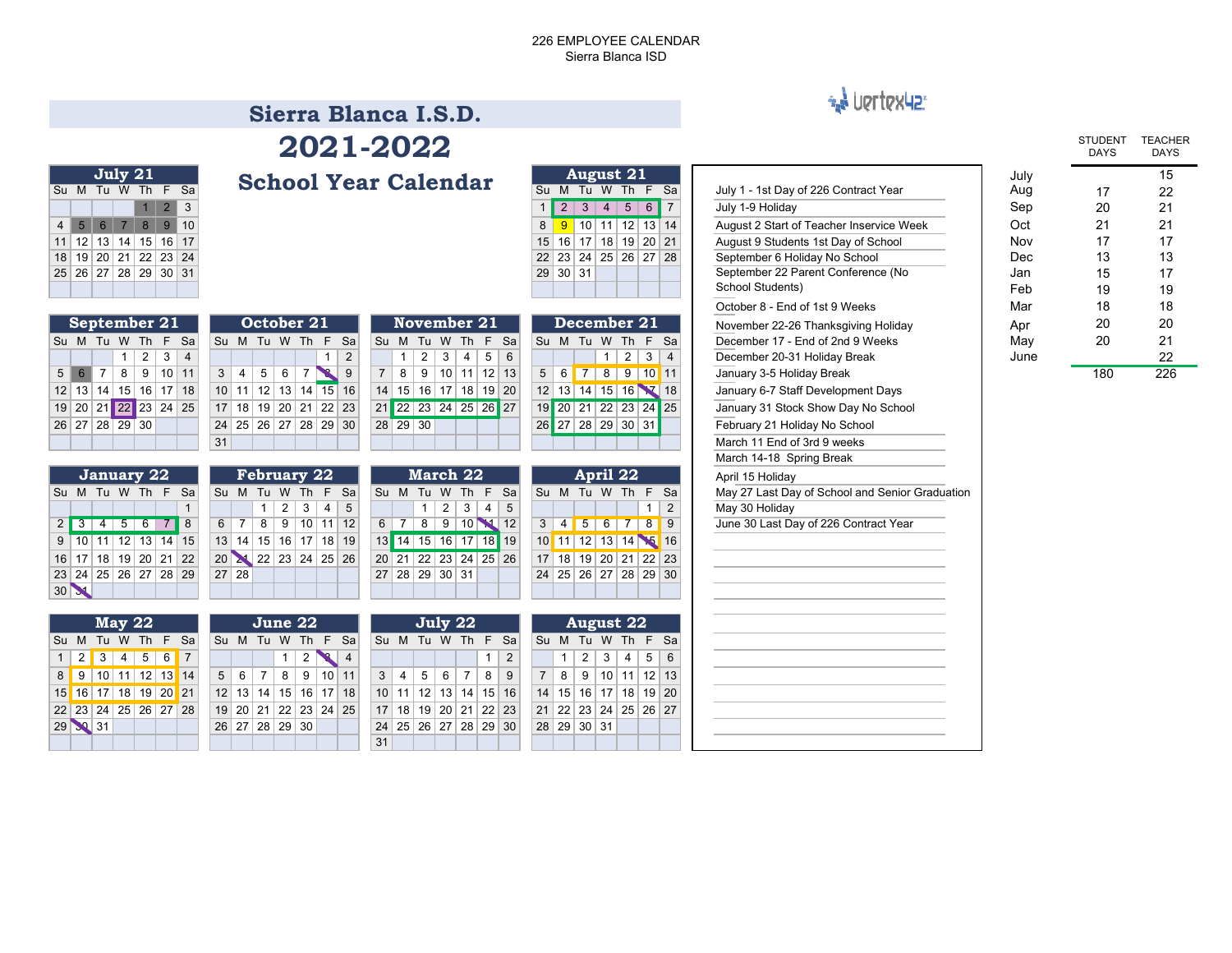### 226 EMPLOYEE CALENDARSierra Blanca ISD

**August 21**

# \*\* Vertex42

## **Sierra Blanca I.S.D.2021-2022**

**School Year Calendar** 

29 30 31 26 27 28 29 30 24 25 26 27 28 29 30

31

|    |                      | July 21        |                   |  |
|----|----------------------|----------------|-------------------|--|
| Su |                      | M Tu W Th F Sa |                   |  |
|    |                      |                | $1 \mid 2 \mid 3$ |  |
|    | 4 5 6 7 8 9 10       |                |                   |  |
|    | 11 12 13 14 15 16 17 |                |                   |  |
|    | 18 19 20 21 22 23 24 |                |                   |  |
|    | 25 26 27 28 29 30 31 |                |                   |  |
|    |                      |                |                   |  |
|    |                      |                |                   |  |

| Su M Tu W Th F Sa                           |                                                                  | <b>Denool Tear Calendar</b>                                                             | Su M Tu W Th F Sa                                   | July 1 - 1st Day of 226 Contract Year           | Aug  | 17  | 22  |
|---------------------------------------------|------------------------------------------------------------------|-----------------------------------------------------------------------------------------|-----------------------------------------------------|-------------------------------------------------|------|-----|-----|
| $2 \mid 3$                                  |                                                                  |                                                                                         | $1 \ 2 \ 3 \ 4 \ 5 \ 6 \ 7$                         | July 1-9 Holiday                                | Sep  | 20  | 21  |
| 4 5 6 7 8 9 10                              |                                                                  |                                                                                         | $\frac{9}{10}$ 10 11 12 13 14<br>8                  | August 2 Start of Teacher Inservice Week        | Oct  | 21  | 21  |
| 11 12 13 14 15 16 17                        |                                                                  |                                                                                         | 15 16 17 18 19 20 21                                | August 9 Students 1st Day of School             | Nov  | 17  | 17  |
| 18 19 20 21 22 23 24                        |                                                                  |                                                                                         | 22 23 24 25 26 27 28                                | September 6 Holiday No School                   | Dec  | 13  | 13  |
| 25 26 27 28 29 30 31                        |                                                                  |                                                                                         | 29 30 31                                            | September 22 Parent Conference (No              | Jan  | 15  | 17  |
|                                             |                                                                  |                                                                                         |                                                     | School Students)                                | Feb  | 19  | 19  |
|                                             |                                                                  |                                                                                         |                                                     | October 8 - End of 1st 9 Weeks                  | Mar  | 18  | 18  |
| September 21                                | October 21                                                       | <b>November 21</b>                                                                      | December 21                                         | November 22-26 Thanksgiving Holiday             | Apr  | 20  | 20  |
| Su M Tu W Th F Sa                           | Su M Tu W Th F Sa                                                | Su M Tu W Th F Sa                                                                       | Su M Tu W Th F Sa                                   | December 17 - End of 2nd 9 Weeks                | May  | 20  | 21  |
| 2 <br>$3 \mid 4$                            | -1<br>2                                                          | 3<br>2 <sup>1</sup><br>4<br>$5 \mid 6$<br>$\mathbf{1}$                                  | $2 \mid$<br>3 <br>$\mathbf{1}$<br>$\overline{4}$    | December 20-31 Holiday Break                    | June |     | 22  |
| $8$   9   10   11<br>$5 \mid 6 \mid 7$      | 5 <sup>1</sup><br>6<br>l 7 I<br>3 <sup>1</sup><br>$\overline{4}$ | 8 9 10 11 12 13                                                                         | $5 \mid 6 \mid 7 \mid$<br>8 9 10 11                 | January 3-5 Holiday Break                       |      | 180 | 226 |
| 12 13 14 15 16 17 18                        | 10 11 12 13 14 15 16                                             | 14 15 16 17 18 19 20                                                                    | 12 13 14 15 16 7 18                                 | January 6-7 Staff Development Days              |      |     |     |
| 19 20 21 22 23 24 25                        | 17 18 19 20 21 22 23                                             | 21 22 23 24 25 26 27                                                                    | 19 20 21 22 23 24 25                                | January 31 Stock Show Day No School             |      |     |     |
| 26 27 28 29 30                              | 24 25 26 27 28 29 30                                             | 28 29 30                                                                                | 26 27 28 29 30 31                                   | February 21 Holiday No School                   |      |     |     |
|                                             | 31                                                               |                                                                                         |                                                     | March 11 End of 3rd 9 weeks                     |      |     |     |
|                                             |                                                                  |                                                                                         |                                                     | March 14-18 Spring Break                        |      |     |     |
| January 22                                  | <b>February 22</b>                                               | March 22                                                                                | April 22                                            | April 15 Holiday                                |      |     |     |
| Su M Tu W Th F Sa                           | Su M Tu W Th F Sa                                                | Su M Tu W Th F Sa                                                                       | Su M Tu W Th F Sa                                   | May 27 Last Day of School and Senior Graduation |      |     |     |
|                                             | 3 <br>$\overline{2}$<br>4 <br>5<br>-1                            | $2 \mid 3 \mid$<br>4 <br>5<br>1 <sup>1</sup>                                            | 2                                                   | May 30 Holiday                                  |      |     |     |
| $2 \mid 3 \mid 4 \mid 5 \mid 6 \mid 7$<br>8 | $9$ 10 11 12<br>6   7   8                                        | 8 9 10 12<br>$6 \mid$                                                                   | 3   4   5   6   7   8<br>$\overline{\phantom{0}}$ 9 | June 30 Last Day of 226 Contract Year           |      |     |     |
| $9$ 10 11 12 13 14 15                       | 13 14 15 16 17 18 19                                             | 13 14 15 16 17 18 19                                                                    | 10 11 12 13 14 15 16                                |                                                 |      |     |     |
| 16 17 18 19 20 21 22                        | 20 21 22 23 24 25 26                                             | 20 21 22 23 24 25 26                                                                    | 17 18 19 20 21 22 23                                |                                                 |      |     |     |
| 23 24 25 26 27 28 29                        | $27 \,   \, 28$                                                  | 27 28 29 30 31                                                                          | 24 25 26 27 28 29 30                                |                                                 |      |     |     |
| 30 <b>X</b>                                 |                                                                  |                                                                                         |                                                     |                                                 |      |     |     |
|                                             |                                                                  |                                                                                         |                                                     |                                                 |      |     |     |
| <b>May 22</b>                               | June 22                                                          | July 22                                                                                 | <b>August 22</b>                                    |                                                 |      |     |     |
| Su M Tu W Th F Sa                           | Su M Tu W Th F Sa                                                | Su M Tu W Th F Sa                                                                       | Su M Tu W Th F Sa                                   |                                                 |      |     |     |
| $ 2 3 4 5 6$ 7<br>$\mathbf{1}$              | $\overline{2}$                                                   | 2                                                                                       | 5<br>3 <sup>1</sup><br>4<br>6<br>2                  |                                                 |      |     |     |
| 8 9 10 11 12 13 14                          | 8<br>9 10 11<br>$5 \mid 6 \mid 7$                                | $6 \mid 7 \mid$<br>8 <sup>1</sup><br>3 <sup>1</sup><br>$\vert$ 4<br>5 <sup>1</sup><br>9 | 7   8   9   10   11   12   13                       |                                                 |      |     |     |
| 15 16 17 18 19 20 21                        | 12 13 14 15 16 17 18                                             | 10 11 12 13 14 15 16                                                                    | 14   15   16   17   18   19   20                    |                                                 |      |     |     |
| 22 23 24 25 26 27 28                        | 19 20 21 22 23 24 25                                             | 17 18 19 20 21 22 23                                                                    | 21 22 23 24 25 26 27                                |                                                 |      |     |     |

28 29 30 31

|                                          |      | <b>STUDENT</b><br><b>DAYS</b> | <b>TEACHER</b><br><b>DAYS</b> |
|------------------------------------------|------|-------------------------------|-------------------------------|
|                                          | July |                               | 15                            |
| July 1 - 1st Day of 226 Contract Year    | Aug  | 17                            | 22                            |
| July 1-9 Holiday                         | Sep  | 20                            | 21                            |
| August 2 Start of Teacher Inservice Week | Oct  | 21                            | 21                            |
| August 9 Students 1st Day of School      | Nov  | 17                            | 17                            |
| September 6 Holiday No School            | Dec  | 13                            | 13                            |
| September 22 Parent Conference (No       | Jan  | 15                            | 17                            |
| School Students)                         | Feb  | 19                            | 19                            |
| October 8 - End of 1st 9 Weeks           | Mar  | 18                            | 18                            |
| November 22-26 Thanksgiving Holiday      | Apr  | 20                            | 20                            |
| December 17 - End of 2nd 9 Weeks         | May  | 20                            | 21                            |
|                                          |      |                               |                               |